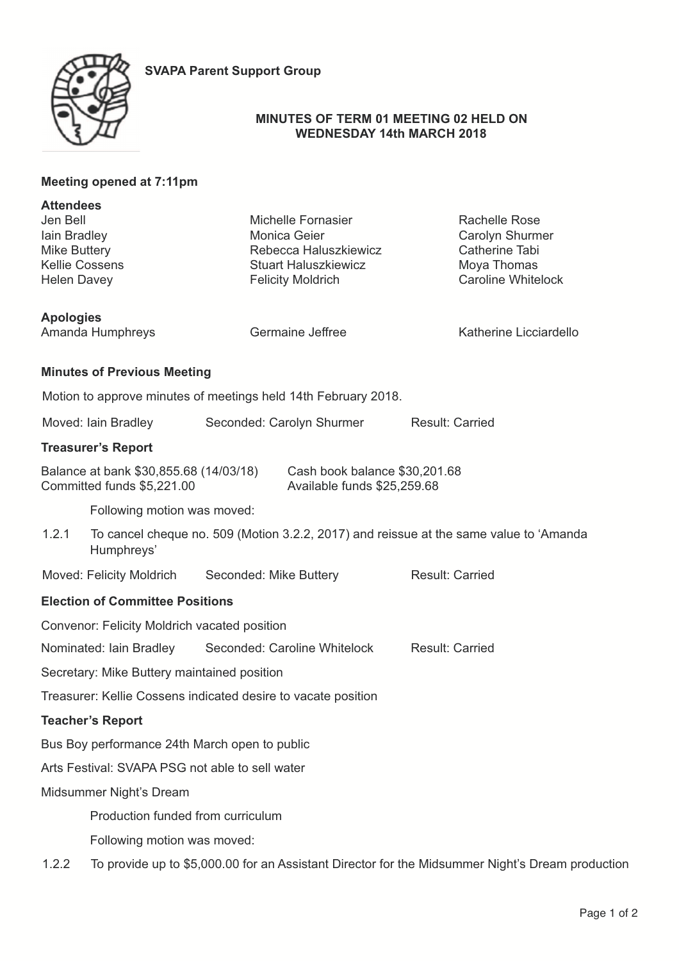

# **MINUTES OF TERM 01 MEETING 02 HELD ON WEDNESDAY 14th MARCH 2018**

|                                                                                                                                      | Meeting opened at 7:11pm                                                                             |                                                                                                                        |                                                                                                       |  |  |
|--------------------------------------------------------------------------------------------------------------------------------------|------------------------------------------------------------------------------------------------------|------------------------------------------------------------------------------------------------------------------------|-------------------------------------------------------------------------------------------------------|--|--|
| <b>Attendees</b><br>Jen Bell<br>lain Bradley<br><b>Mike Buttery</b><br><b>Kellie Cossens</b><br><b>Helen Davey</b>                   |                                                                                                      | Michelle Fornasier<br>Monica Geier<br>Rebecca Haluszkiewicz<br><b>Stuart Haluszkiewicz</b><br><b>Felicity Moldrich</b> | <b>Rachelle Rose</b><br>Carolyn Shurmer<br>Catherine Tabi<br>Moya Thomas<br><b>Caroline Whitelock</b> |  |  |
| <b>Apologies</b>                                                                                                                     | Amanda Humphreys                                                                                     | Germaine Jeffree                                                                                                       | Katherine Licciardello                                                                                |  |  |
|                                                                                                                                      | <b>Minutes of Previous Meeting</b>                                                                   |                                                                                                                        |                                                                                                       |  |  |
|                                                                                                                                      |                                                                                                      | Motion to approve minutes of meetings held 14th February 2018.                                                         |                                                                                                       |  |  |
| Moved: Iain Bradley                                                                                                                  |                                                                                                      | Seconded: Carolyn Shurmer                                                                                              | <b>Result: Carried</b>                                                                                |  |  |
|                                                                                                                                      | <b>Treasurer's Report</b>                                                                            |                                                                                                                        |                                                                                                       |  |  |
| Balance at bank \$30,855.68 (14/03/18)<br>Cash book balance \$30,201.68<br>Committed funds \$5,221.00<br>Available funds \$25,259.68 |                                                                                                      |                                                                                                                        |                                                                                                       |  |  |
|                                                                                                                                      | Following motion was moved:                                                                          |                                                                                                                        |                                                                                                       |  |  |
| 1.2.1                                                                                                                                | To cancel cheque no. 509 (Motion 3.2.2, 2017) and reissue at the same value to 'Amanda<br>Humphreys' |                                                                                                                        |                                                                                                       |  |  |
| Moved: Felicity Moldrich                                                                                                             |                                                                                                      | Seconded: Mike Buttery                                                                                                 | <b>Result: Carried</b>                                                                                |  |  |
| <b>Election of Committee Positions</b>                                                                                               |                                                                                                      |                                                                                                                        |                                                                                                       |  |  |
| Convenor: Felicity Moldrich vacated position                                                                                         |                                                                                                      |                                                                                                                        |                                                                                                       |  |  |
|                                                                                                                                      | Nominated: Iain Bradley                                                                              | Seconded: Caroline Whitelock                                                                                           | <b>Result: Carried</b>                                                                                |  |  |
| Secretary: Mike Buttery maintained position                                                                                          |                                                                                                      |                                                                                                                        |                                                                                                       |  |  |
|                                                                                                                                      |                                                                                                      | Treasurer: Kellie Cossens indicated desire to vacate position                                                          |                                                                                                       |  |  |
|                                                                                                                                      | <b>Teacher's Report</b>                                                                              |                                                                                                                        |                                                                                                       |  |  |
|                                                                                                                                      | Bus Boy performance 24th March open to public                                                        |                                                                                                                        |                                                                                                       |  |  |
|                                                                                                                                      | Arts Festival: SVAPA PSG not able to sell water                                                      |                                                                                                                        |                                                                                                       |  |  |
| Midsummer Night's Dream                                                                                                              |                                                                                                      |                                                                                                                        |                                                                                                       |  |  |
|                                                                                                                                      | Production funded from curriculum                                                                    |                                                                                                                        |                                                                                                       |  |  |
|                                                                                                                                      | Following motion was moved:                                                                          |                                                                                                                        |                                                                                                       |  |  |
| 1.2.2                                                                                                                                | To provide up to \$5,000.00 for an Assistant Director for the Midsummer Night's Dream production     |                                                                                                                        |                                                                                                       |  |  |